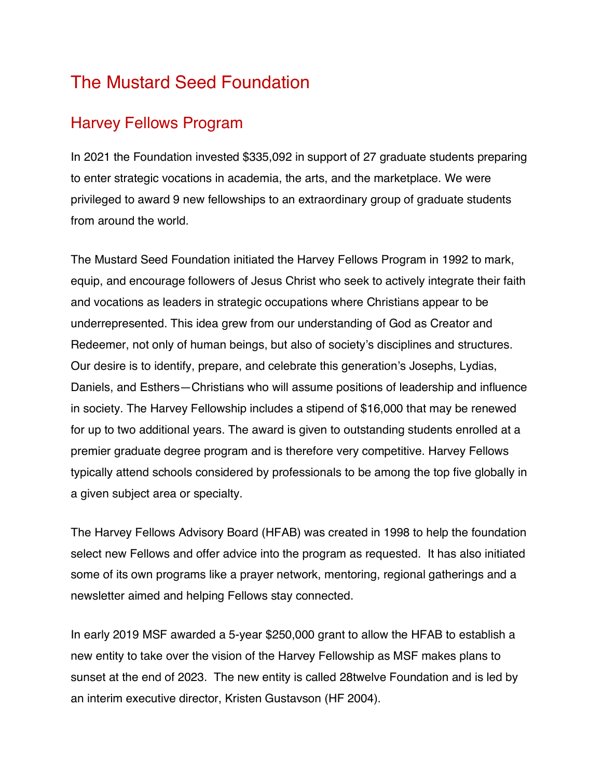## The Mustard Seed Foundation

## Harvey Fellows Program

In 2021 the Foundation invested \$335,092 in support of 27 graduate students preparing to enter strategic vocations in academia, the arts, and the marketplace. We were privileged to award 9 new fellowships to an extraordinary group of graduate students from around the world.

The Mustard Seed Foundation initiated the Harvey Fellows Program in 1992 to mark, equip, and encourage followers of Jesus Christ who seek to actively integrate their faith and vocations as leaders in strategic occupations where Christians appear to be underrepresented. This idea grew from our understanding of God as Creator and Redeemer, not only of human beings, but also of society's disciplines and structures. Our desire is to identify, prepare, and celebrate this generation's Josephs, Lydias, Daniels, and Esthers—Christians who will assume positions of leadership and influence in society. The Harvey Fellowship includes a stipend of \$16,000 that may be renewed for up to two additional years. The award is given to outstanding students enrolled at a premier graduate degree program and is therefore very competitive. Harvey Fellows typically attend schools considered by professionals to be among the top five globally in a given subject area or specialty.

The Harvey Fellows Advisory Board (HFAB) was created in 1998 to help the foundation select new Fellows and offer advice into the program as requested. It has also initiated some of its own programs like a prayer network, mentoring, regional gatherings and a newsletter aimed and helping Fellows stay connected.

In early 2019 MSF awarded a 5-year \$250,000 grant to allow the HFAB to establish a new entity to take over the vision of the Harvey Fellowship as MSF makes plans to sunset at the end of 2023. The new entity is called 28twelve Foundation and is led by an interim executive director, Kristen Gustavson (HF 2004).